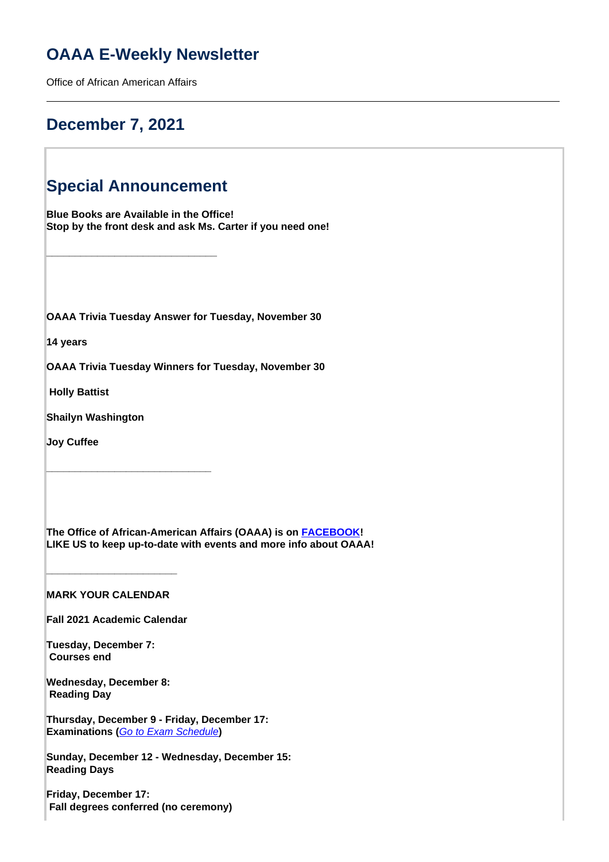# **OAAA E-Weekly Newsletter**

Office of African American Affairs

## **December 7, 2021**

# **Special Announcement**

**\_\_\_\_\_\_\_\_\_\_\_\_\_\_\_\_\_\_\_\_\_\_\_\_\_\_\_\_\_\_**

**Blue Books are Available in the Office! Stop by the front desk and ask Ms. Carter if you need one!**

**OAAA Trivia Tuesday Answer for Tuesday, November 30**

**14 years**

**OAAA Trivia Tuesday Winners for Tuesday, November 30**

 **Holly Battist**

**Shailyn Washington**

**Joy Cuffee**

**The Office of African-American Affairs (OAAA) is on [FACEBOOK](https://www.facebook.com/OfficeofAfricanAmericanAffairs)! LIKE US to keep up-to-date with events and more info about OAAA!**

**MARK YOUR CALENDAR**

**\_\_\_\_\_\_\_\_\_\_\_\_\_\_\_\_\_\_\_\_\_\_\_**

**Fall 2021 Academic Calendar**

**\_\_\_\_\_\_\_\_\_\_\_\_\_\_\_\_\_\_\_\_\_\_\_\_\_\_\_\_\_**

**Tuesday, December 7: Courses end**

**Wednesday, December 8: Reading Day**

**Thursday, December 9 - Friday, December 17: Examinations (**Go to Exam Schedule**)**

**Sunday, December 12 - Wednesday, December 15: Reading Days**

**Friday, December 17: Fall degrees conferred (no ceremony)**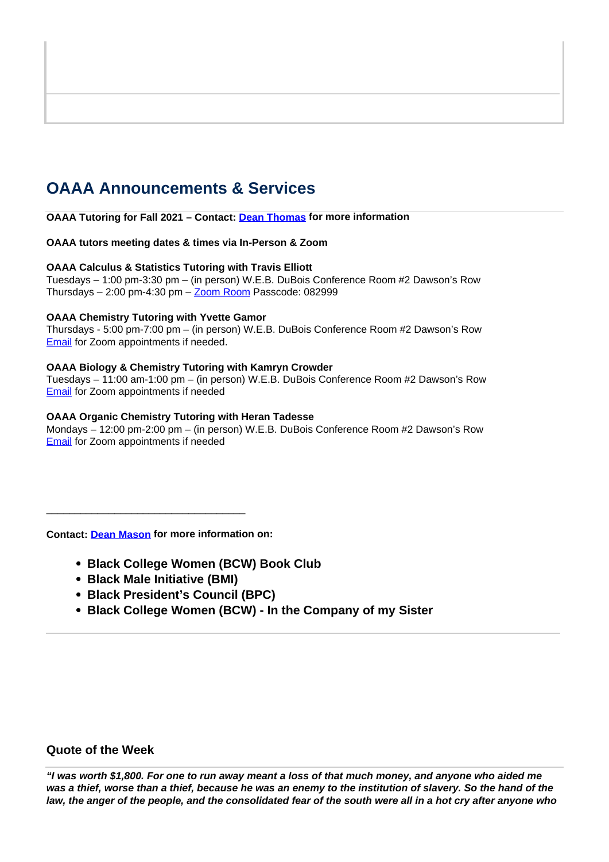# **OAAA Announcements & Services**

**OAAA Tutoring for Fall 2021 – Contact: Dean Thomas for more information**

## **OAAA tutors meeting dates & times via In-Person & Zoom**

### **OAAA Calculus & Statistics Tutoring with Travis Elliott**

Tuesdays – 1:00 pm-3:30 pm – (in person) W.E.B. DuBois Conference Room #2 Dawson's Row Thursdays  $-2:00$  pm-4:30 pm  $-\underline{Zoom}$  Room Passcode: 082999

## **OAAA Chemistry Tutoring with Yvette Gamor**

Thursdays - 5:00 pm-7:00 pm – (in person) W.E.B. DuBois Conference Room #2 Dawson's Row **Email** for Zoom appointments if needed.

## **OAAA Biology & Chemistry Tutoring with Kamryn Crowder**

Tuesdays – 11:00 am-1:00 pm – (in person) W.E.B. DuBois Conference Room #2 Dawson's Row **Email** for Zoom appointments if needed

## **OAAA Organic Chemistry Tutoring with Heran Tadesse**

Mondays – 12:00 pm-2:00 pm – (in person) W.E.B. DuBois Conference Room #2 Dawson's Row Email for Zoom appointments if needed

**Contact: Dean Mason for more information on:** 

\_\_\_\_\_\_\_\_\_\_\_\_\_\_\_\_\_\_\_\_\_\_\_\_\_\_\_\_\_\_\_\_\_\_\_

- **Black College Women (BCW) Book Club**
- **Black Male Initiative (BMI)**
- **Black President's Council (BPC)**
- **Black College Women (BCW) In the Company of my Sister**

## **Quote of the Week**

**"I was worth \$1,800. For one to run away meant a loss of that much money, and anyone who aided me was a thief, worse than a thief, because he was an enemy to the institution of slavery. So the hand of the law, the anger of the people, and the consolidated fear of the south were all in a hot cry after anyone who**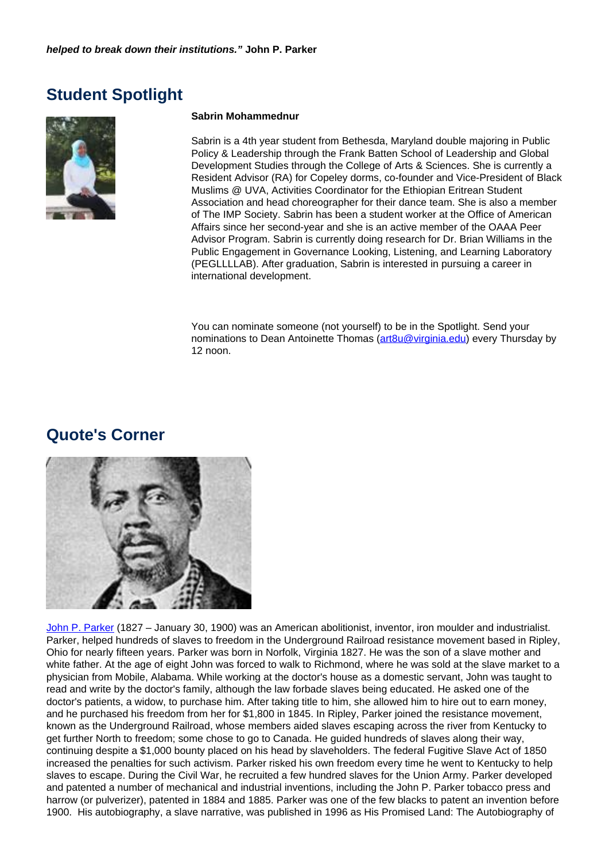## **Student Spotlight**



### **Sabrin Mohammednur**

Sabrin is a 4th year student from Bethesda, Maryland double majoring in Public Policy & Leadership through the Frank Batten School of Leadership and Global Development Studies through the College of Arts & Sciences. She is currently a Resident Advisor (RA) for Copeley dorms, co-founder and Vice-President of Black Muslims @ UVA, Activities Coordinator for the Ethiopian Eritrean Student Association and head choreographer for their dance team. She is also a member of The IMP Society. Sabrin has been a student worker at the Office of American Affairs since her second-year and she is an active member of the OAAA Peer Advisor Program. Sabrin is currently doing research for Dr. Brian Williams in the Public Engagement in Governance Looking, Listening, and Learning Laboratory (PEGLLLLAB). After graduation, Sabrin is interested in pursuing a career in international development.

You can nominate someone (not yourself) to be in the Spotlight. Send your nominations to Dean Antoinette Thomas (art8u@virginia.edu) every Thursday by 12 noon.

## **Quote's Corner**



John P. Parker (1827 – January 30, 1900) was an American abolitionist, inventor, iron moulder and industrialist. Parker, helped hundreds of slaves to freedom in the Underground Railroad resistance movement based in Ripley, Ohio for nearly fifteen years. Parker was born in Norfolk, Virginia 1827. He was the son of a slave mother and white father. At the age of eight John was forced to walk to Richmond, where he was sold at the slave market to a physician from Mobile, Alabama. While working at the doctor's house as a domestic servant, John was taught to read and write by the doctor's family, although the law forbade slaves being educated. He asked one of the doctor's patients, a widow, to purchase him. After taking title to him, she allowed him to hire out to earn money, and he purchased his freedom from her for \$1,800 in 1845. In Ripley, Parker joined the resistance movement, known as the Underground Railroad, whose members aided slaves escaping across the river from Kentucky to get further North to freedom; some chose to go to Canada. He guided hundreds of slaves along their way, continuing despite a \$1,000 bounty placed on his head by slaveholders. The federal Fugitive Slave Act of 1850 increased the penalties for such activism. Parker risked his own freedom every time he went to Kentucky to help slaves to escape. During the Civil War, he recruited a few hundred slaves for the Union Army. Parker developed and patented a number of mechanical and industrial inventions, including the John P. Parker tobacco press and harrow (or pulverizer), patented in 1884 and 1885. Parker was one of the few blacks to patent an invention before 1900. His autobiography, a slave narrative, was published in 1996 as His Promised Land: The Autobiography of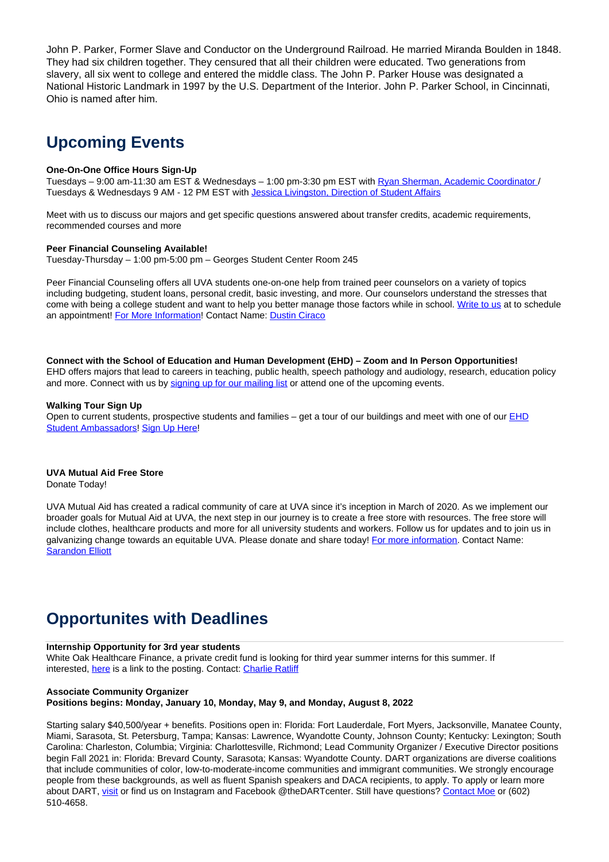John P. Parker, Former Slave and Conductor on the Underground Railroad. He married Miranda Boulden in 1848. They had six children together. They censured that all their children were educated. Two generations from slavery, all six went to college and entered the middle class. The John P. Parker House was designated a National Historic Landmark in 1997 by the U.S. Department of the Interior. John P. Parker School, in Cincinnati, Ohio is named after him.

# **Upcoming Events**

#### **One-On-One Office Hours Sign-Up**

Tuesdays – 9:00 am-11:30 am EST & Wednesdays – 1:00 pm-3:30 pm EST with Ryan Sherman, Academic Coordinator / Tuesdays & Wednesdays 9 AM - 12 PM EST with Jessica Livingston, Direction of Student Affairs

Meet with us to discuss our majors and get specific questions answered about transfer credits, academic requirements, recommended courses and more

### **Peer Financial Counseling Available!**

Tuesday-Thursday – 1:00 pm-5:00 pm – Georges Student Center Room 245

Peer Financial Counseling offers all UVA students one-on-one help from trained peer counselors on a variety of topics including budgeting, student loans, personal credit, basic investing, and more. Our counselors understand the stresses that come with being a college student and want to help you better manage those factors while in school. Write to us at to schedule an appointment! For More Information! Contact Name: Dustin Ciraco

**Connect with the School of Education and Human Development (EHD) – Zoom and In Person Opportunities!** EHD offers majors that lead to careers in teaching, public health, speech pathology and audiology, research, education policy and more. Connect with us by signing up for our mailing list or attend one of the upcoming events.

#### **Walking Tour Sign Up**

Open to current students, prospective students and families – get a tour of our buildings and meet with one of our EHD Student Ambassadors! Sign Up Here!

#### **UVA Mutual Aid Free Store**

Donate Today!

UVA Mutual Aid has created a radical community of care at UVA since it's inception in March of 2020. As we implement our broader goals for Mutual Aid at UVA, the next step in our journey is to create a free store with resources. The free store will include clothes, healthcare products and more for all university students and workers. Follow us for updates and to join us in galvanizing change towards an equitable UVA. Please donate and share today! For more information. Contact Name: Sarandon Elliott

## **Opportunites with Deadlines**

#### **Internship Opportunity for 3rd year students**

White Oak Healthcare Finance, a private credit fund is looking for third year summer interns for this summer. If interested, here is a link to the posting. Contact: Charlie Ratliff

### **Associate Community Organizer Positions begins: Monday, January 10, Monday, May 9, and Monday, August 8, 2022**

Starting salary \$40,500/year + benefits. Positions open in: Florida: Fort Lauderdale, Fort Myers, Jacksonville, Manatee County, Miami, Sarasota, St. Petersburg, Tampa; Kansas: Lawrence, Wyandotte County, Johnson County; Kentucky: Lexington; South Carolina: Charleston, Columbia; Virginia: Charlottesville, Richmond; Lead Community Organizer / Executive Director positions begin Fall 2021 in: Florida: Brevard County, Sarasota; Kansas: Wyandotte County. DART organizations are diverse coalitions that include communities of color, low-to-moderate-income communities and immigrant communities. We strongly encourage people from these backgrounds, as well as fluent Spanish speakers and DACA recipients, to apply. To apply or learn more about DART, visit or find us on Instagram and Facebook @theDARTcenter. Still have questions? Contact Moe or (602) 510-4658.